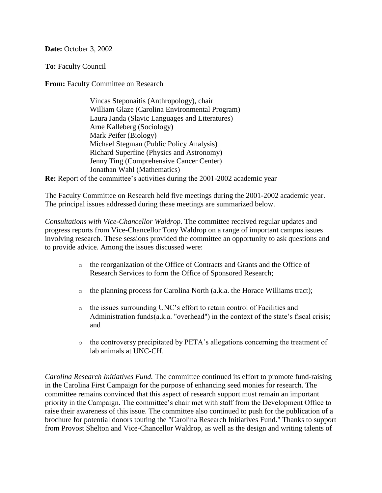**Date: October 3, 2002** 

**To:** Faculty Council

**From: Faculty Committee on Research** 

Vincas Steponaitis (Anthropology), chair William Glaze (Carolina Environmental Program) Laura Janda (Slavic Languages and Literatures) Arne Kalleberg (Sociology) Mark Peifer (Biology) Michael Stegman (Public Policy Analysis) Richard Superfine (Physics and Astronomy) Jenny Ting (Comprehensive Cancer Center) Jonathan Wahl (Mathematics)

**Re:** Report of the committee's activities during the 2001-2002 academic year

The Faculty Committee on Research held five meetings during the 2001-2002 academic year. The principal issues addressed during these meetings are summarized below.

*Consultations with Vice-Chancellor Waldrop.* The committee received regular updates and progress reports from Vice-Chancellor Tony Waldrop on a range of important campus issues involving research. These sessions provided the committee an opportunity to ask questions and to provide advice. Among the issues discussed were:

- o the reorganization of the Office of Contracts and Grants and the Office of Research Services to form the Office of Sponsored Research;
- $\circ$  the planning process for Carolina North (a.k.a. the Horace Williams tract);
- o the issues surrounding UNC's effort to retain control of Facilities and Administration funds(a.k.a. "overhead") in the context of the state's fiscal crisis; and
- o the controversy precipitated by PETA's allegations concerning the treatment of lab animals at UNC-CH.

*Carolina Research Initiatives Fund.* The committee continued its effort to promote fund-raising in the Carolina First Campaign for the purpose of enhancing seed monies for research. The committee remains convinced that this aspect of research support must remain an important priority in the Campaign. The committee's chair met with staff from the Development Office to raise their awareness of this issue. The committee also continued to push for the publication of a brochure for potential donors touting the "Carolina Research Initiatives Fund." Thanks to support from Provost Shelton and Vice-Chancellor Waldrop, as well as the design and writing talents of